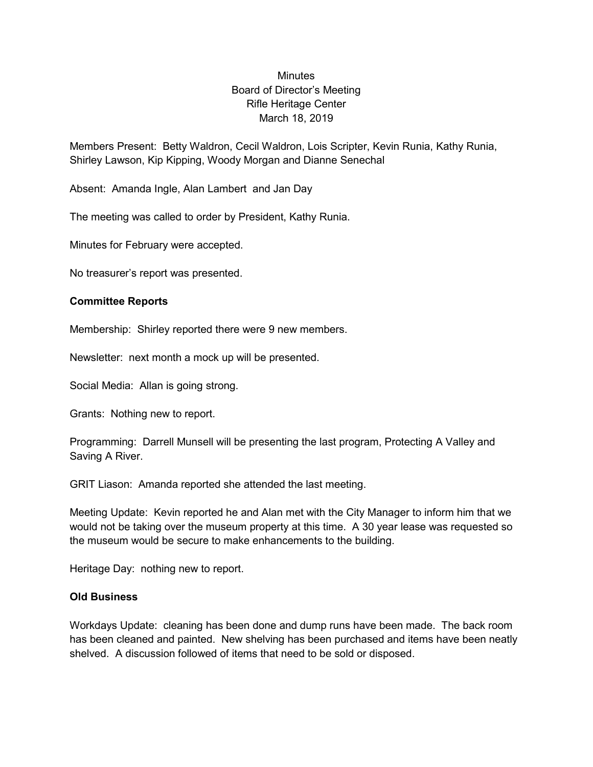## Minutes Board of Director's Meeting Rifle Heritage Center March 18, 2019

Members Present: Betty Waldron, Cecil Waldron, Lois Scripter, Kevin Runia, Kathy Runia, Shirley Lawson, Kip Kipping, Woody Morgan and Dianne Senechal

Absent: Amanda Ingle, Alan Lambert and Jan Day

The meeting was called to order by President, Kathy Runia.

Minutes for February were accepted.

No treasurer's report was presented.

## **Committee Reports**

Membership: Shirley reported there were 9 new members.

Newsletter: next month a mock up will be presented.

Social Media: Allan is going strong.

Grants: Nothing new to report.

Programming: Darrell Munsell will be presenting the last program, Protecting A Valley and Saving A River.

GRIT Liason: Amanda reported she attended the last meeting.

Meeting Update: Kevin reported he and Alan met with the City Manager to inform him that we would not be taking over the museum property at this time. A 30 year lease was requested so the museum would be secure to make enhancements to the building.

Heritage Day: nothing new to report.

## **Old Business**

Workdays Update: cleaning has been done and dump runs have been made. The back room has been cleaned and painted. New shelving has been purchased and items have been neatly shelved. A discussion followed of items that need to be sold or disposed.